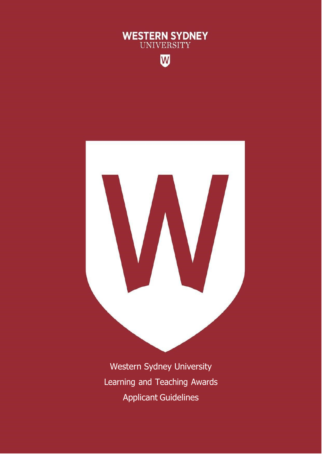

 $\overline{\mathsf{w}}$ 



Western Sydney University Learning and Teaching Awards Applicant Guidelines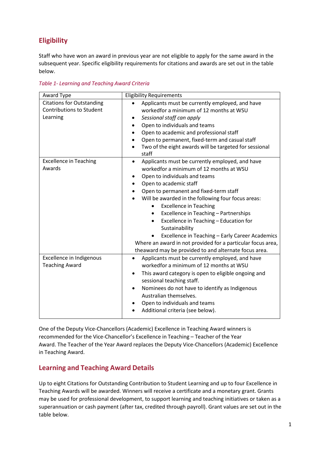# **Eligibility**

Staff who have won an award in previous year are not eligible to apply for the same award in the subsequent year. Specific eligibility requirements for citations and awards are set out in the table below.

*Table 1- Learning and Teaching Award Criteria*

| Award Type                                                                      | <b>Eligibility Requirements</b>                                                                                                                                                                                                                                                                                                                                                                                                                                                                                                                                                                            |
|---------------------------------------------------------------------------------|------------------------------------------------------------------------------------------------------------------------------------------------------------------------------------------------------------------------------------------------------------------------------------------------------------------------------------------------------------------------------------------------------------------------------------------------------------------------------------------------------------------------------------------------------------------------------------------------------------|
| <b>Citations for Outstanding</b><br><b>Contributions to Student</b><br>Learning | Applicants must be currently employed, and have<br>workedfor a minimum of 12 months at WSU<br>Sessional staff can apply<br>Open to individuals and teams<br>Open to academic and professional staff<br>Open to permanent, fixed-term and casual staff<br>Two of the eight awards will be targeted for sessional<br>staff                                                                                                                                                                                                                                                                                   |
| <b>Excellence in Teaching</b><br>Awards                                         | Applicants must be currently employed, and have<br>٠<br>workedfor a minimum of 12 months at WSU<br>Open to individuals and teams<br>Open to academic staff<br>Open to permanent and fixed-term staff<br>Will be awarded in the following four focus areas:<br><b>Excellence in Teaching</b><br>$\bullet$<br>Excellence in Teaching - Partnerships<br>٠<br>Excellence in Teaching - Education for<br>$\bullet$<br>Sustainability<br>Excellence in Teaching - Early Career Academics<br>Where an award in not provided for a particular focus area,<br>theaward may be provided to and alternate focus area. |
| Excellence in Indigenous<br><b>Teaching Award</b>                               | Applicants must be currently employed, and have<br>workedfor a minimum of 12 months at WSU<br>This award category is open to eligible ongoing and<br>sessional teaching staff.<br>Nominees do not have to identify as Indigenous<br>Australian themselves.<br>Open to individuals and teams<br>Additional criteria (see below).                                                                                                                                                                                                                                                                            |

One of the Deputy Vice-Chancellors (Academic) Excellence in Teaching Award winners is recommended for the Vice-Chancellor's Excellence in Teaching – Teacher of the Year Award. The Teacher of the Year Award replaces the Deputy Vice-Chancellors (Academic) Excellence in Teaching Award.

### **Learning and Teaching Award Details**

Up to eight Citations for Outstanding Contribution to Student Learning and up to four Excellence in Teaching Awards will be awarded. Winners will receive a certificate and a monetary grant. Grants may be used for professional development, to support learning and teaching initiatives or taken as a superannuation or cash payment (after tax, credited through payroll). Grant values are set out in the table below.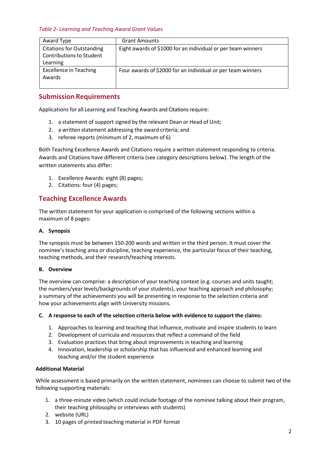*Table 2- Learning and Teaching Award Grant Values*

| Award Type                       | <b>Grant Amounts</b>                                         |
|----------------------------------|--------------------------------------------------------------|
| <b>Citations for Outstanding</b> | Eight awards of \$1000 for an individual or per team winners |
| <b>Contributions to Student</b>  |                                                              |
| Learning                         |                                                              |
| <b>Excellence in Teaching</b>    | Four awards of \$2000 for an individual or per team winners  |
| Awards                           |                                                              |
|                                  |                                                              |

### **Submission Requirements**

Applications for all Learning and Teaching Awards and Citations require:

- 1. a statement of support signed by the relevant Dean or Head of Unit;
- 2. a written statement addressing the award criteria; and
- 3. referee reports (minimum of 2, maximum of 6)

Both Teaching Excellence Awards and Citations require a written statement responding to criteria. Awards and Citations have different criteria (see category descriptions below). The length of the written statements also differ:

- 1. Excellence Awards: eight (8) pages;
- 2. Citations: four (4) pages;

### **Teaching Excellence Awards**

The written statement for your application is comprised of the following sections within a maximum of 8 pages:

#### **A. Synopsis**

The synopsis must be between 150-200 words and written in the third person. It must cover the nominee's teaching area or discipline, teaching experience, the particular focus of their teaching, teaching methods, and their research/teaching interests.

#### **B. Overview**

The overview can comprise: a description of your teaching context (e.g. courses and units taught; the numbers/year levels/backgrounds of your students), your teaching approach and philosophy; a summary of the achievements you will be presenting in response to the selection criteria and how your achievements align with University missions.

#### **C. A response to each of the selection criteria below with evidence to support the claims:**

- 1. Approaches to learning and teaching that influence, motivate and inspire students to learn
- 2. Development of curricula and resources that reflect a command of the field
- 3. Evaluation practices that bring about improvements in teaching and learning
- 4. Innovation, leadership or scholarship that has influenced and enhanced learning and teaching and/or the student experience

#### **Additional Material**

While assessment is based primarily on the written statement, nominees can choose to submit two of the following supporting materials:

- 1. a three-minute video (which could include footage of the nominee talking about their program, their teaching philosophy or interviews with students)
- 2. website (URL)
- 3. 10 pages of printed teaching material in PDF format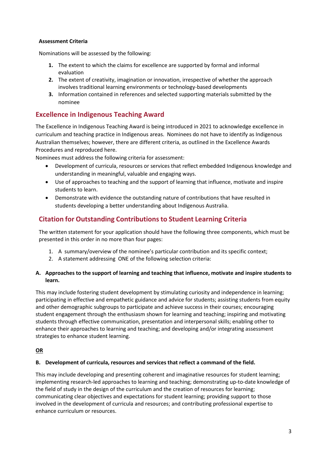#### **Assessment Criteria**

Nominations will be assessed by the following:

- **1.** The extent to which the claims for excellence are supported by formal and informal evaluation
- **2.** The extent of creativity, imagination or innovation, irrespective of whether the approach involves traditional learning environments or technology-based developments
- **3.** Information contained in references and selected supporting materials submitted by the nominee

### **Excellence in Indigenous Teaching Award**

The Excellence in Indigenous Teaching Award is being introduced in 2021 to acknowledge excellence in curriculum and teaching practice in Indigenous areas. Nominees do not have to identify as Indigenous Australian themselves; however, there are different criteria, as outlined in the Excellence Awards Procedures and reproduced here.

Nominees must address the following criteria for assessment:

- Development of curricula, resources or services that reflect embedded Indigenous knowledge and understanding in meaningful, valuable and engaging ways.
- Use of approaches to teaching and the support of learning that influence, motivate and inspire students to learn.
- Demonstrate with evidence the outstanding nature of contributions that have resulted in students developing a better understanding about Indigenous Australia.

### **Citation for Outstanding Contributionsto Student Learning Criteria**

The written statement for your application should have the following three components, which must be presented in this order in no more than four pages:

- 1. A summary/overview of the nominee's particular contribution and its specific context;
- 2. A statement addressing ONE of the following selection criteria:

#### **A. Approaches to the support of learning and teaching that influence, motivate and inspire students to learn.**

This may include fostering student development by stimulating curiosity and independence in learning; participating in effective and empathetic guidance and advice for students; assisting students from equity and other demographic subgroups to participate and achieve success in their courses; encouraging student engagement through the enthusiasm shown for learning and teaching; inspiring and motivating students through effective communication, presentation and interpersonal skills; enabling other to enhance their approaches to learning and teaching; and developing and/or integrating assessment strategies to enhance student learning.

#### **OR**

#### **B. Development of curricula, resources and services that reflect a command of the field.**

This may include developing and presenting coherent and imaginative resources for student learning; implementing research-led approaches to learning and teaching; demonstrating up-to-date knowledge of the field of study in the design of the curriculum and the creation of resources for learning; communicating clear objectives and expectations for student learning; providing support to those involved in the development of curricula and resources; and contributing professional expertise to enhance curriculum or resources.